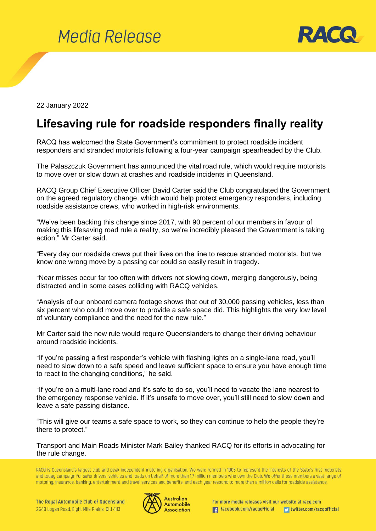



22 January 2022

## **Lifesaving rule for roadside responders finally reality**

RACQ has welcomed the State Government's commitment to protect roadside incident responders and stranded motorists following a four-year campaign spearheaded by the Club.

The Palaszczuk Government has announced the vital road rule, which would require motorists to move over or slow down at crashes and roadside incidents in Queensland.

RACQ Group Chief Executive Officer David Carter said the Club congratulated the Government on the agreed regulatory change, which would help protect emergency responders, including roadside assistance crews, who worked in high-risk environments.

"We've been backing this change since 2017, with 90 percent of our members in favour of making this lifesaving road rule a reality, so we're incredibly pleased the Government is taking action," Mr Carter said.

"Every day our roadside crews put their lives on the line to rescue stranded motorists, but we know one wrong move by a passing car could so easily result in tragedy.

"Near misses occur far too often with drivers not slowing down, merging dangerously, being distracted and in some cases colliding with RACQ vehicles.

"Analysis of our onboard camera footage shows that out of 30,000 passing vehicles, less than six percent who could move over to provide a safe space did. This highlights the very low level of voluntary compliance and the need for the new rule."

Mr Carter said the new rule would require Queenslanders to change their driving behaviour around roadside incidents.

"If you're passing a first responder's vehicle with flashing lights on a single-lane road, you'll need to slow down to a safe speed and leave sufficient space to ensure you have enough time to react to the changing conditions," he said.

"If you're on a multi-lane road and it's safe to do so, you'll need to vacate the lane nearest to the emergency response vehicle. If it's unsafe to move over, you'll still need to slow down and leave a safe passing distance.

"This will give our teams a safe space to work, so they can continue to help the people they're there to protect."

Transport and Main Roads Minister Mark Bailey thanked RACQ for its efforts in advocating for the rule change.

RACQ is Queensland's largest club and peak independent motoring organisation. We were formed in 1905 to represent the interests of the State's first motorists and today campaign for safer drivers, vehicles and roads on behalf of more than 1.7 million members who own the Club. We offer those members a vast range of motoring, insurance, banking, entertainment and travel services and benefits, and each year respond to more than a million calls for roadside assistance.